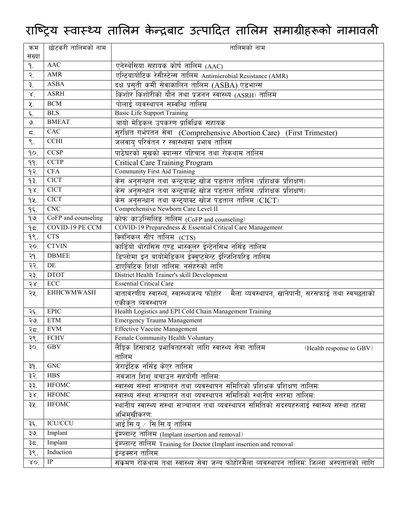## राष्ट्रिय स्वास्थ्य तालिम केन्द्रबाट उत्पादित तालिम समाग्रीहरूको नामावली

| क्रम                  | छोटकरी तालिमको नाम   | तालिमको नाम                                                                                 |
|-----------------------|----------------------|---------------------------------------------------------------------------------------------|
| संख्या                |                      |                                                                                             |
| ۹.                    | <b>AAC</b>           | एनेस्थेसिया सहायक कोर्ष तालिम (AAC)                                                         |
| $\tilde{\mathcal{R}}$ | AMR                  | एन्टिबायोटिक रेसीस्टेन्स तालिम Antimicrobial Resistance (AMR)                               |
| ३.                    | <b>ASBA</b>          | दक्ष प्रसती कर्मी सेवाकालिन तालिम (ASBA) एडभान्स                                            |
| $\mathsf{X}.$         | <b>ASRH</b>          | किशोर किशोरीको यौन तथा प्रजनन स्वास्थ्य (ASRH) तालिम                                        |
| 义.                    | <b>BCM</b>           | पोलाई व्यवस्थापन सम्वन्धि तालिम                                                             |
| $\boldsymbol{\xi}$ .  | <b>BLS</b>           | <b>Basic Life Support Training</b>                                                          |
| $\mathcal{O}$         | <b>BMEAT</b>         | बायो मेडिकल उपकरण प्राविधिक सहायक                                                           |
| ζ.                    | CAC                  | सुरक्षित गर्भपतन सेवा (Comprehensive Abortion Care) (First Trimester)                       |
| $\mathsf{S}.$         | <b>CCHI</b>          | जलवायु परिर्वतन र स्वास्थ्यमा प्रभाव तालिम                                                  |
| qo.                   | <b>CCSP</b>          | पाठेघरको मखको क्यान्सर पहिचान तथा रोकथाम तालिम                                              |
| 99.                   | <b>CCTP</b>          | <b>Critical Care Training Program</b>                                                       |
| 92.                   | <b>CFA</b>           | <b>Community First Aid Training</b>                                                         |
| 93.                   | <b>CICT</b>          | केस अनुसन्धान तथा कन्ट्याक्ट खोज पडताल तालिम (प्रशिक्षक प्रशिक्षण)                          |
| 98.                   | <b>CICT</b>          | <u>केस अनुसन्धान</u> तथा कन्ट्याक्ट खोज पडताल तालिम (प्रशिक्षक प्रशिक्षण)                   |
| 92.                   | <b>CICT</b>          | केस अनुसन्धान तथा कन्ट्याक्ट खोज पडताल तालिम (CICT)                                         |
| $q\xi$ .              | CNC                  | Comprehensive Newborn Care Level II                                                         |
| 99.                   | CoFP and counseling  | कोफ काउन्सिलिङ तालिम (CoFP and counseling)                                                  |
| 95.                   | COVID-19 PE CCM      | COVID-19 Preparedness & Essential Critical Care Management                                  |
| 98.                   | <b>CTS</b>           | क्लिनिकल सीप तालिम (CTS)                                                                    |
| 50.                   | <b>CTVIN</b>         | कार्डियो थोरासिस एण्ड भास्कुलर ईन्टेनसिभ नर्सिङ तालिम                                       |
| २१.                   | <b>DBMEE</b>         | डिप्लोमा इन बायोमेडिकल ईक्वुप्टमेन्ट ईन्जिनियरिड तालिम                                      |
| २२.                   | DE                   | डाएबिटिक शिक्षा तालिमः नर्सहरुको लागि                                                       |
| २३.                   | <b>DTOT</b>          | District Health Trainer's skill Development                                                 |
| 58                    | $\operatorname{ECC}$ | <b>Essential Critical Care</b>                                                              |
| २५.                   | <b>EHHCWMWASH</b>    | वातावरणीय स्वास्थ्य, स्वास्थ्यजन्य फोहोर   मैला व्यवस्थापन, खानेपानी, सरसफाई तथा स्वच्छताको |
|                       |                      | एकीकत व्यवस्थापन                                                                            |
| २६.                   | <b>EPIC</b>          | Health Logistics and EPI Cold Chain Management Training                                     |
| ২७.                   | <b>ETM</b>           | Emergency Trauma Management                                                                 |
| २८.                   | <b>EVM</b>           | <b>Effective Vaccine Management</b>                                                         |
| २९.                   | <b>FCHV</b>          | Female Community Health Voluntary                                                           |
| 30.                   | <b>GBV</b>           | लैङ्गिक हिंसावाट प्रभावितहरुको लागि स्वास्थ्य सेवा तालिम<br>(Health response to GBV)        |
| 39.                   | GNC                  | तालिम<br>जेराईटिक नर्सिङ केएर तालिम                                                         |
| ३२.                   | <b>HBS</b>           | नवजात शिश बचाउन सहयोगी तालिमः                                                               |
| ३३.                   | <b>HFOMC</b>         | स्वास्थ्य संस्था सञ्चालन तथा व्यवस्थापन समितिको प्रशिक्षक प्रशिक्षण तालिमः                  |
| 38 <sup>7</sup>       | <b>HFOMC</b>         | स्वास्थ्य संस्था सञ्चालन तथा व्यवस्थापन समितिको स्थानीय स्तरमा तालिमः                       |
| ३५.                   | <b>HFOMC</b>         | स्थानीय स्वास्थ्य संस्था सञ्चालन तथा व्यवस्थापन समितिको सदस्यहरुलाई स्वास्थ्य संस्था तहमा   |
|                       |                      | अभिमुखीकरणः                                                                                 |
| ३६.                   | <b>ICU/CCU</b>       | आई.सि.य्. ∕ सि.सि.य् तालिम                                                                  |
| ३७.                   | Implant              | ईम्प्लान्ट तालिम (Implant insertion and removal)                                            |
| ३८.                   | Implant              | ईम्प्लान्ट तालिम Training for Doctor (Implant insertion and removal)                        |
| ३९.                   | Induction            | ईन्डक्सन तालिम                                                                              |
| XO                    | IP                   | संक्रमण रोकथाम तथा स्वास्थ्य सेवा जन्य फोहोरमैला व्यवस्थापन तालिम: जिल्ला अस्पतालको लागि    |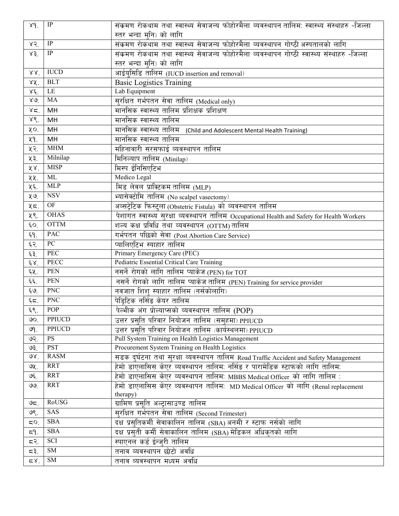| 89.             | $\overline{IP}$  | संकमण रोकथाम तथा स्वास्थ्य सेवाजन्य फोहोरमैला व्यवस्थापन तालिम: स्वास्थ्य संस्थाहरु -जिल्ला |
|-----------------|------------------|---------------------------------------------------------------------------------------------|
|                 |                  | स्तर भन्दा मनि) को लागि                                                                     |
| 85              | IP               | संक्रमण रोकथाम तथा स्वास्थ्य सेवाजन्य फोहोरमैला व्यवस्थापन गोष्ठी अस्पतालको लागि            |
| 83              | $\rm IP$         | संकमण रोकथाम तथा स्वास्थ्य सेवाजन्य फोहोरमैला व्यवस्थापन गोष्ठी स्वास्थ्य संस्थाहरु -जिल्ला |
|                 |                  | स्तर भन्दा मनि) को लागि                                                                     |
| 88 <sup>7</sup> | <b>IUCD</b>      | आईयसिडि तालिम (IUCD insertion and removal)                                                  |
| SX.             | $\overline{BLT}$ | <b>Basic Logistics Training</b>                                                             |
| $x \xi$ .       | LE               | Lab Equipment                                                                               |
| $80^{\circ}$    | MA               | सरक्षित गर्भपतन सेवा तालिम (Medical only)                                                   |
| 85.             | MH               | मानसिक स्वास्थ्य तालिम प्रशिक्षक प्रशिक्षण                                                  |
| 88.             | MH               | मानसिक स्वास्थ्य तालिम                                                                      |
| ųо.             | MH               | मानसिक स्वास्थ्य तालिम (Child and Adolescent Mental Health Training)                        |
| ٧q.             | MH               | मानसिक स्वास्थ्य तालिम                                                                      |
| ५२.             | <b>MHM</b>       | महिनावारी सरसफाई व्यवस्थापन तालिम                                                           |
| ५३.             | Milnilap         | मिनिल्याप तालिम (Minilap)                                                                   |
| 68              | <b>MISP</b>      | मिस्प ईनिसिएटिभ                                                                             |
| ५५.             | ML               | Medico Legal                                                                                |
| ५६.             | <b>MLP</b>       | मिड लेवल प्राक्टिकम तालिम (MLP)                                                             |
| ५७.             | <b>NSV</b>       | भ्यासेक्टोमि तालिम (No scalpel vasectomy)                                                   |
| ५८.             | OF               | अव्सट्रेटिक फिस्टुला (Obstetric Fistula) को व्यवस्थापन तालिम                                |
| ५९.             | <b>OHAS</b>      | पेशागत स्वास्थ्य सुरक्षा व्यवस्थापन तालिम Occupational Health and Safety for Health Workers |
| ξΟ.             | <b>OTTM</b>      | शल्य कक्ष प्रविधि तथा व्यवस्थापन (OTTM) तालिम                                               |
| $\xi$ q.        | <b>PAC</b>       | गर्भपतन पछिको सेवा (Post Abortion Care Service)                                             |
| ६२.             | PC               | प्यालिएटिभ स्याहार तालिम                                                                    |
| ६३.             | PEC              | Primary Emergency Care (PEC)                                                                |
| $\xi \chi$ .    | PECC             | Pediatric Essential Critical Care Training                                                  |
| ६५.             | <b>PEN</b>       | नसर्ने रोगको लागि तालिम प्याकेज (PEN) for TOT                                               |
| ६६.             | <b>PEN</b>       | नसर्ने रोगको लागि तालिम प्याकेज तालिम (PEN) Training for service provider                   |
| $\xi$ $\varphi$ | <b>PNC</b>       | नवजात शिशु स्याहार तालिम (नर्सकोलागि)                                                       |
| $\xi$ द.        | <b>PNC</b>       | पेड़िटिक नर्सिङ केयर तालिम                                                                  |
| ६९              | POP              | पेल्मीक अंग प्रोल्याप्सको व्यवस्थापन तालिम (POP)                                            |
| $\mathcal{O}$   | PPIUCD           | उत्तर प्रसुति परिवार नियोजन तालिम (समुहमा) PPIUCD                                           |
| ७१.             | <b>PPIUCD</b>    | उत्तर प्रसति परिवार नियोजन तालिम (कार्यस्थलमा) PPIUCD                                       |
| ७२.             | $\mathbf{PS}$    | Pull System Training on Health Logistics Management                                         |
| ७३.             | <b>PST</b>       | Procurement System Training on Health Logistics                                             |
| $\mathcal{A}$   | <b>RASM</b>      | सडक दुर्घटना तथा सुरक्षा व्यवस्थापन तालिम Road Traffic Accident and Safety Management       |
| ७५.             | <b>RRT</b>       |                                                                                             |
| ঙ€.             | <b>RRT</b>       | हेमो डाएलासिस केएर व्यवस्थापन तालिम: MBBS Medical Officer को लागि तालिम :                   |
| باھا            | <b>RRT</b>       | हेमो डाएलासिस केएर व्यवस्थापन तालिम: MD Medical Officer को लागि (Renal replacement          |
|                 | RoUSG            | therapy)                                                                                    |
| ಅದ್.            |                  | ग्रामिण प्रसृति अल्ट्रासाउण्ड तालिम                                                         |
| ७९.             | SAS<br>SBA       | सुरक्षित गर्भपतन सेवा तालिम (Second Trimester)                                              |
| 5Ο.             |                  | दक्ष प्रसुतिकर्मी सेवाकालिन तालिम (SBA) अनमी र स्टाफ नर्सको लागि                            |
| ξ٩.             | <b>SBA</b>       | दक्ष प्रसुती कर्मी सेवाकालिन तालिम (SBA) मेडिकल अधिकृतको लागि                               |
| द२.             | SCI              | स्पाएनल कर्ड ईन्ज्री तालिम                                                                  |
| ⊂३.             | SM               | तनाव व्यवस्थापन छोटो अवधि                                                                   |
| 58.             | SM               | तनाव व्यवस्थापन मध्यम अवधि                                                                  |